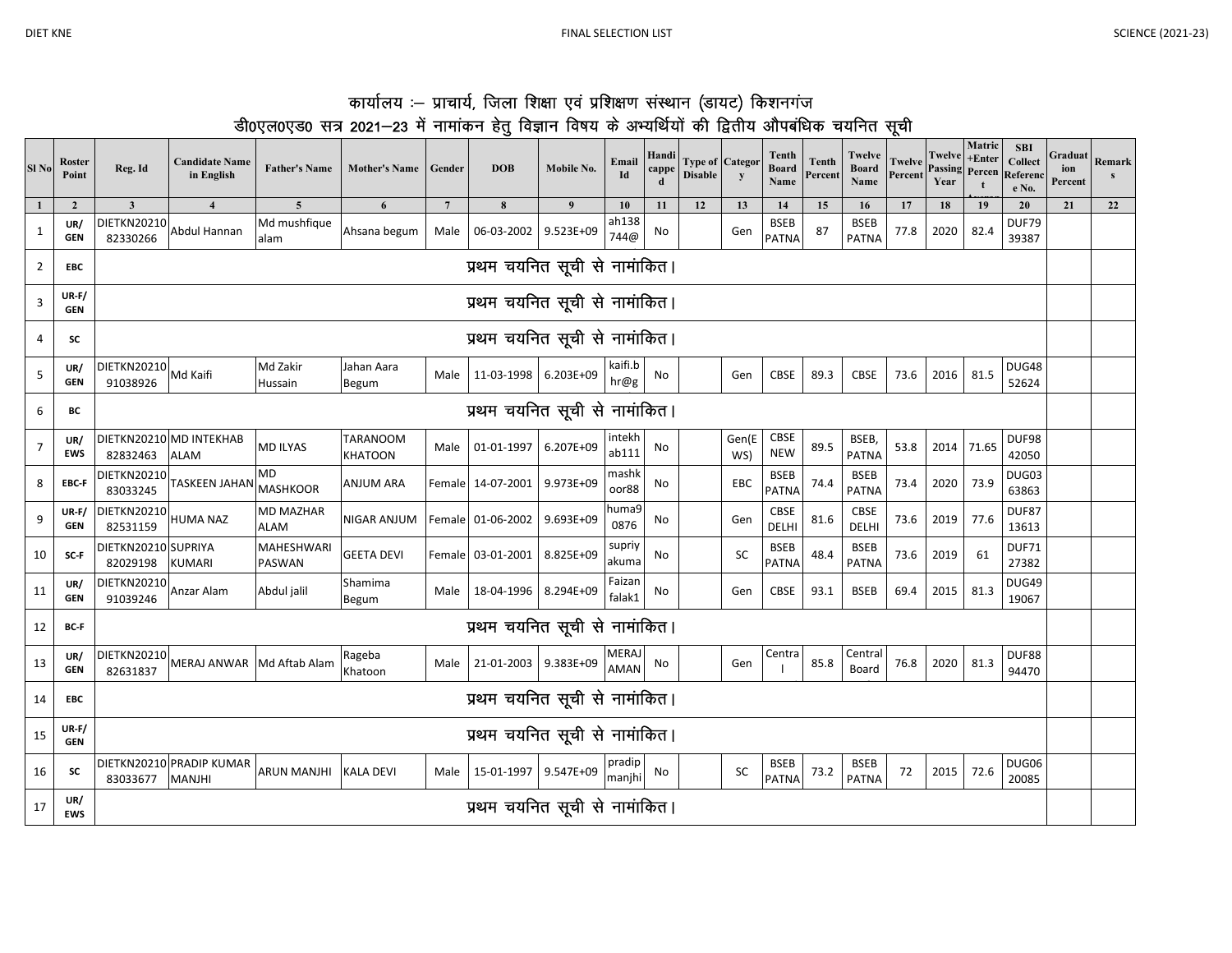|                                                                                                   | कार्यालय :– प्राचार्य, जिला शिक्षा एवं प्रशिक्षण संस्थान (डायट) किशनगंज |  |  |  |  |
|---------------------------------------------------------------------------------------------------|-------------------------------------------------------------------------|--|--|--|--|
| डी0एल0एड0 सत्र 2021—23 में नामांकन हेतू विज्ञान विषय के अभ्यर्थियों की द्वितीय औपबंधिक चयनित सूची |                                                                         |  |  |  |  |

| Sl <sub>No</sub> | Roster<br>Point            | Reg. Id                         | <b>Candidate Name</b><br>in English       | <b>Father's Name</b>            | <b>Mother's Name</b>              | Gender          | <b>DOB</b>                    | Mobile No. | Email<br>Id                 | Handi<br>cappe<br>d | <b>Type of Categor</b><br><b>Disable</b> | y            | Tenth<br><b>Board</b><br>Name | Tenth<br>Percent | Twelve<br><b>Board</b><br>Name | <b>Twelve</b><br>Percent | <b>Twelve</b><br>Passing<br>Year | Matric<br>$+Enter$<br>Percen<br>$\mathbf{t}$ | <b>SBI</b><br>Collect<br>Referen<br>e No. | Graduat<br>ion<br>Percent | Remark<br>$\mathbf{s}$ |
|------------------|----------------------------|---------------------------------|-------------------------------------------|---------------------------------|-----------------------------------|-----------------|-------------------------------|------------|-----------------------------|---------------------|------------------------------------------|--------------|-------------------------------|------------------|--------------------------------|--------------------------|----------------------------------|----------------------------------------------|-------------------------------------------|---------------------------|------------------------|
|                  | $\overline{2}$             | $\overline{\mathbf{3}}$         | $\overline{\mathbf{4}}$                   | $\overline{\mathbf{5}}$         | 6                                 | $7\phantom{.0}$ | 8                             | 9          | 10                          | 11                  | 12                                       | 13           | 14                            | 15               | 16                             | 17                       | 18                               | 19                                           | 20                                        | 21                        | 22                     |
| $\mathbf{1}$     | UR/<br><b>GEN</b>          | DIETKN20210<br>82330266         | Abdul Hannan                              | Md mushfique<br>alam            | Ahsana begum                      | Male            | 06-03-2002                    | 9.523E+09  | ah138<br>744@               | No                  |                                          | Gen          | <b>BSEB</b><br><b>PATNA</b>   | 87               | <b>BSEB</b><br><b>PATNA</b>    | 77.8                     | 2020                             | 82.4                                         | DUF79<br>39387                            |                           |                        |
| $\overline{2}$   | <b>EBC</b>                 |                                 |                                           |                                 |                                   |                 | प्रथम चयनित सूची से नामांकित। |            |                             |                     |                                          |              |                               |                  |                                |                          |                                  |                                              |                                           |                           |                        |
| 3                | UR-F/<br><b>GEN</b>        |                                 |                                           |                                 |                                   |                 | प्रथम चयनित सूची से नामांकित। |            |                             |                     |                                          |              |                               |                  |                                |                          |                                  |                                              |                                           |                           |                        |
| 4                | SC                         |                                 |                                           |                                 |                                   |                 | प्रथम चयनित सूची से नामांकित। |            |                             |                     |                                          |              |                               |                  |                                |                          |                                  |                                              |                                           |                           |                        |
| 5                | UR/<br><b>GEN</b>          | <b>DIETKN20210</b><br>91038926  | Md Kaifi                                  | Md Zakir<br>Hussain             | Jahan Aara<br><b>Begum</b>        | Male            | 11-03-1998 6.203E+09          |            | kaiti.b<br>hr@g             | No                  |                                          | Gen          | <b>CBSE</b>                   | 89.3             | <b>CBSE</b>                    | 73.6                     | 2016                             | 81.5                                         | DUG48<br>52624                            |                           |                        |
| 6                | ВC                         | प्रथम चयनित सूची से नामांकित।   |                                           |                                 |                                   |                 |                               |            |                             |                     |                                          |              |                               |                  |                                |                          |                                  |                                              |                                           |                           |                        |
| $\overline{7}$   | UR/<br><b>EWS</b>          | 82832463                        | DIETKN20210 MD INTEKHAB<br><b>ALAM</b>    | MD ILYAS                        | <b>TARANOOM</b><br><b>KHATOON</b> | Male            | 01-01-1997                    | 6.207E+09  | intekh<br>ab111             | No                  |                                          | Gen(E<br>WS) | CBSE<br><b>NEW</b>            | 89.5             | BSEB,<br><b>PATNA</b>          | 53.8                     | 2014                             | 71.65                                        | DUF98<br>42050                            |                           |                        |
| 8                | EBC-F                      | <b>DIETKN20210</b><br>83033245  | <b>TASKEEN JAHAN</b>                      | MD<br><b>MASHKOOR</b>           | <b>ANJUM ARA</b>                  |                 | Female 14-07-2001             | 9.973E+09  | mashk<br>oor88              | No                  |                                          | EBC          | <b>BSEB</b><br>PATNA          | 74.4             | <b>BSEB</b><br><b>PATNA</b>    | 73.4                     | 2020                             | 73.9                                         | DUG03<br>63863                            |                           |                        |
| 9                | <b>UR-F/</b><br><b>GEN</b> | DIETKN20210<br>82531159         | <b>HUMA NAZ</b>                           | <b>MD MAZHAR</b><br><b>ALAM</b> | NIGAR ANJUM                       |                 | Female 01-06-2002             | 9.693E+09  | huma9<br>0876               | No                  |                                          | Gen          | <b>CBSE</b><br>DELHI          | 81.6             | CBSE<br>DELHI                  | 73.6                     | 2019                             | 77.6                                         | DUF87<br>13613                            |                           |                        |
| 10               | SC-F                       | DIETKN20210 SUPRIYA<br>82029198 | <b>KUMARI</b>                             | MAHESHWARI<br>PASWAN            | <b>GEETA DEVI</b>                 |                 | Female 03-01-2001             | 8.825E+09  | supriy<br>akuma             | No                  |                                          | SC           | <b>BSEB</b><br><b>PATNA</b>   | 48.4             | <b>BSEB</b><br><b>PATNA</b>    | 73.6                     | 2019                             | 61                                           | DUF71<br>27382                            |                           |                        |
| 11               | UR/<br><b>GEN</b>          | DIETKN20210<br>91039246         | Anzar Alam                                | Abdul jalil                     | Shamima<br>Begum                  | Male            | 18-04-1996 8.294E+09          |            | Faizan<br>falak1            | No                  |                                          | Gen          | CBSE                          | 93.1             | <b>BSEB</b>                    | 69.4                     | 2015                             | 81.3                                         | DUG49<br>19067                            |                           |                        |
| 12               | BC-F                       |                                 |                                           |                                 |                                   |                 | प्रथम चयनित सूची से नामांकित। |            |                             |                     |                                          |              |                               |                  |                                |                          |                                  |                                              |                                           |                           |                        |
| 13               | UR/<br><b>GEN</b>          | <b>DIETKN20210</b><br>82631837  | MERAJ ANWAR Md Aftab Alam                 |                                 | Rageba<br>Khatoon                 | Male            | 21-01-2003 9.383E+09          |            | <b>MERAJ</b><br><b>AMAN</b> | No                  |                                          | Gen          | Centra                        | 85.8             | Central<br>Board               | 76.8                     | 2020                             | 81.3                                         | DUF88<br>94470                            |                           |                        |
| 14               | <b>EBC</b>                 | प्रथम चयनित सूची से नामांकित।   |                                           |                                 |                                   |                 |                               |            |                             |                     |                                          |              |                               |                  |                                |                          |                                  |                                              |                                           |                           |                        |
| 15               | UR-F/<br><b>GEN</b>        | प्रथम चयनित सूची से नामांकित।   |                                           |                                 |                                   |                 |                               |            |                             |                     |                                          |              |                               |                  |                                |                          |                                  |                                              |                                           |                           |                        |
| 16               | SC                         | 83033677                        | DIETKN20210 PRADIP KUMAR<br><b>MANJHI</b> | <b>ARUN MANJHI</b>              | <b>KALA DEVI</b>                  | Male            | 15-01-1997 9.547E+09          |            | pradip<br>manjhi            | No                  |                                          | ${\sf SC}$   | <b>BSEB</b><br><b>PATNA</b>   | 73.2             | <b>BSEB</b><br><b>PATNA</b>    | 72                       | 2015                             | 72.6                                         | DUG06<br>20085                            |                           |                        |
| 17               | UR/<br><b>EWS</b>          |                                 |                                           |                                 |                                   |                 | प्रथम चयनित सूची से नामांकित। |            |                             |                     |                                          |              |                               |                  |                                |                          |                                  |                                              |                                           |                           |                        |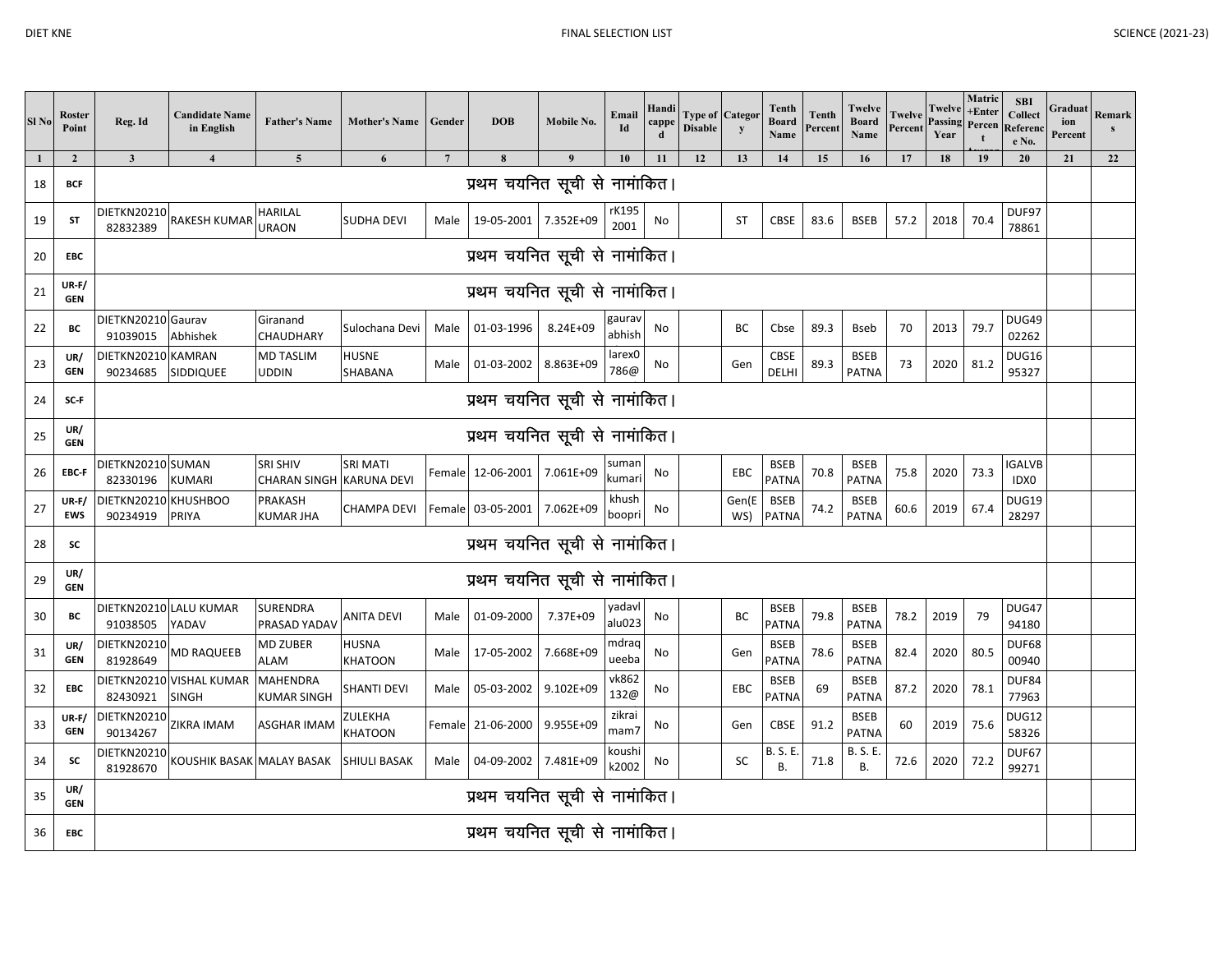| Sl <sub>No</sub> | <b>Roster</b><br>Point     | Reg. Id                          | <b>Candidate Name</b><br>in English      | <b>Father's Name</b>                   | <b>Mother's Name</b>                        | Gender          | <b>DOB</b>                    | Mobile No.    | Email<br>Id                | Handi<br>cappe<br>d | Type of Categor<br><b>Disable</b> | y            | Tenth<br><b>Board</b><br>Name | <b>Tenth</b><br>Percent | <b>Twelve</b><br><b>Board</b><br>Name | <b>Twelve</b><br>Percent | <b>Twelve</b><br><b>Passing</b><br>Year | Matric<br>$+Enter$<br>Percen<br>$\mathbf{t}$ | <b>SBI</b><br><b>Collect</b><br>Referenc<br>e No. | Graduat<br>ion<br>Percent | Remark<br>s |
|------------------|----------------------------|----------------------------------|------------------------------------------|----------------------------------------|---------------------------------------------|-----------------|-------------------------------|---------------|----------------------------|---------------------|-----------------------------------|--------------|-------------------------------|-------------------------|---------------------------------------|--------------------------|-----------------------------------------|----------------------------------------------|---------------------------------------------------|---------------------------|-------------|
| 1                | $\overline{2}$             | $\mathbf{3}$                     | $\overline{\mathbf{4}}$                  | $5\overline{5}$                        | 6                                           | $7\phantom{.0}$ | 8                             | $\mathbf{q}$  | 10                         | 11                  | 12                                | 13           | 14                            | 15                      | 16                                    | 17                       | 18                                      | 19                                           | 20                                                | 21                        | 22          |
| 18               | <b>BCF</b>                 |                                  |                                          |                                        |                                             |                 | प्रथम चयनित सूची से नामांकित। |               |                            |                     |                                   |              |                               |                         |                                       |                          |                                         |                                              |                                                   |                           |             |
| 19               | <b>ST</b>                  | <b>DIETKN20210</b><br>82832389   | RAKESH KUMAR                             | <b>HARILAL</b><br><b>URAON</b>         | <b>SUDHA DEVI</b>                           | Male            | 19-05-2001 7.352E+09          |               | rK195<br>2001              | No                  |                                   | <b>ST</b>    | CBSE                          | 83.6                    | <b>BSEB</b>                           | 57.2                     | 2018                                    | 70.4                                         | DUF97<br>78861                                    |                           |             |
| 20               | <b>EBC</b>                 |                                  |                                          |                                        |                                             |                 | प्रथम चयनित सूची से नामांकित। |               |                            |                     |                                   |              |                               |                         |                                       |                          |                                         |                                              |                                                   |                           |             |
| 21               | UR-F/<br><b>GEN</b>        |                                  |                                          |                                        |                                             |                 | प्रथम चयनित सूची से नामांकित। |               |                            |                     |                                   |              |                               |                         |                                       |                          |                                         |                                              |                                                   |                           |             |
| 22               | BC                         | DIETKN20210 Gaurav<br>91039015   | Abhishek                                 | Giranand<br>CHAUDHARY                  | Sulochana Devi                              | Male            | 01-03-1996                    | 8.24E+09      | gaurav<br>abhish           | No                  |                                   | BC           | Cbse                          | 89.3                    | <b>Bseb</b>                           | 70                       | 2013                                    | 79.7                                         | DUG49<br>02262                                    |                           |             |
| 23               | UR/<br><b>GEN</b>          | DIETKN20210 KAMRAN<br>90234685   | SIDDIQUEE                                | <b>MD TASLIM</b><br><b>UDDIN</b>       | <b>HUSNE</b><br>SHABANA                     |                 | Male 01-03-2002 8.863E+09     |               | larex <sub>0</sub><br>786@ | No                  |                                   | Gen          | CBSE<br>DELHI                 | 89.3                    | <b>BSEB</b><br><b>PATNA</b>           | 73                       | 2020                                    | 81.2                                         | DUG16<br>95327                                    |                           |             |
| 24               | SC-F                       | प्रथम चयनित सूची से नामांकित।    |                                          |                                        |                                             |                 |                               |               |                            |                     |                                   |              |                               |                         |                                       |                          |                                         |                                              |                                                   |                           |             |
| 25               | UR/<br><b>GEN</b>          | प्रथम चयनित सूची से नामांकित।    |                                          |                                        |                                             |                 |                               |               |                            |                     |                                   |              |                               |                         |                                       |                          |                                         |                                              |                                                   |                           |             |
| 26               | EBC-F                      | DIETKN20210 SUMAN<br>82330196    | <b>KUMARI</b>                            | <b>SRI SHIV</b><br><b>CHARAN SINGH</b> | <b>SRI MATI</b><br><b>KARUNA DEVI</b>       |                 | Female 12-06-2001             | 7.061E+09     | suman<br>kumari            | No                  |                                   | EBC          | <b>BSEB</b><br>PATNA          | 70.8                    | <b>BSEB</b><br><b>PATNA</b>           | 75.8                     | 2020                                    | 73.3                                         | <b>IGALVB</b><br>IDX0                             |                           |             |
| 27               | <b>UR-F/</b><br><b>EWS</b> | DIETKN20210 KHUSHBOO<br>90234919 | PRIYA                                    | PRAKASH<br><b>KUMAR JHA</b>            | CHAMPA DEVI   Female 03-05-2001   7.062E+09 |                 |                               |               | khush<br>boopri            | No                  |                                   | Gen(E<br>WS) | <b>BSEB</b><br><b>PATNA</b>   | 74.2                    | <b>BSEB</b><br><b>PATNA</b>           | 60.6                     | 2019                                    | 67.4                                         | DUG19<br>28297                                    |                           |             |
| 28               | <b>SC</b>                  |                                  |                                          |                                        |                                             |                 | प्रथम चयनित सूची से नामांकित। |               |                            |                     |                                   |              |                               |                         |                                       |                          |                                         |                                              |                                                   |                           |             |
| 29               | UR/<br><b>GEN</b>          |                                  |                                          |                                        |                                             |                 | प्रथम चयनित सूची से नामांकित। |               |                            |                     |                                   |              |                               |                         |                                       |                          |                                         |                                              |                                                   |                           |             |
| 30               | BC                         | 91038505                         | DIETKN20210 LALU KUMAR<br>YADAV          | SURENDRA<br>PRASAD YADAV               | ANITA DEVI                                  | Male            | 01-09-2000                    | 7.37E+09      | yadavl<br>alu023           | No                  |                                   | BC           | <b>BSEB</b><br>PATNA          | 79.8                    | <b>BSEB</b><br><b>PATNA</b>           | 78.2                     | 2019                                    | 79                                           | DUG47<br>94180                                    |                           |             |
| 31               | UR/<br><b>GEN</b>          | DIETKN20210<br>81928649          | <b>MD RAQUEEB</b>                        | <b>MD ZUBER</b><br><b>ALAM</b>         | <b>HUSNA</b><br><b>KHATOON</b>              |                 | Male 17-05-2002               | 7.668E+09     | mdraq<br>ueeba             | No                  |                                   | Gen          | <b>BSEB</b><br>PATNA          | 78.6                    | <b>BSEB</b><br><b>PATNA</b>           | 82.4                     | 2020                                    | 80.5                                         | DUF68<br>00940                                    |                           |             |
| 32               | EBC                        | 82430921                         | DIETKN20210 VISHAL KUMAR<br><b>SINGH</b> | MAHENDRA<br>KUMAR SINGH                | <b>SHANTI DEVI</b>                          | Male            | 05-03-2002                    | $9.102E + 09$ | vk862<br>132@              | No                  |                                   | EBC          | <b>BSEB</b><br>PATNA          | 69                      | <b>BSEB</b><br><b>PATNA</b>           | 87.2                     | 2020                                    | 78.1                                         | DUF84<br>77963                                    |                           |             |
| 33               | UR-F/<br><b>GEN</b>        | DIETKN20210<br>90134267          | ZIKRA IMAM                               | <b>ASGHAR IMAM</b>                     | ZULEKHA<br>KHATOON                          |                 | Female 21-06-2000             | 9.955E+09     | zikrai<br>mam7             | No                  |                                   | Gen          | CBSE                          | 91.2                    | <b>BSEB</b><br><b>PATNA</b>           | 60                       | 2019                                    | 75.6                                         | DUG12<br>58326                                    |                           |             |
| 34               | sc                         | DIETKN20210<br>81928670          | KOUSHIK BASAK MALAY BASAK                |                                        | <b>SHIULI BASAK</b>                         | Male            | 04-09-2002                    | 7.481E+09     | koushi<br>k2002            | No                  |                                   | SC           | <b>B. S. E.</b><br>Β.         | 71.8                    | <b>B. S. E.</b><br>В.                 | 72.6                     | 2020                                    | 72.2                                         | DUF67<br>99271                                    |                           |             |
| 35               | UR/<br><b>GEN</b>          |                                  |                                          |                                        |                                             |                 | प्रथम चयनित सूची से नामांकित। |               |                            |                     |                                   |              |                               |                         |                                       |                          |                                         |                                              |                                                   |                           |             |
| 36               | EBC                        |                                  |                                          |                                        |                                             |                 | प्रथम चयनित सूची से नामांकित। |               |                            |                     |                                   |              |                               |                         |                                       |                          |                                         |                                              |                                                   |                           |             |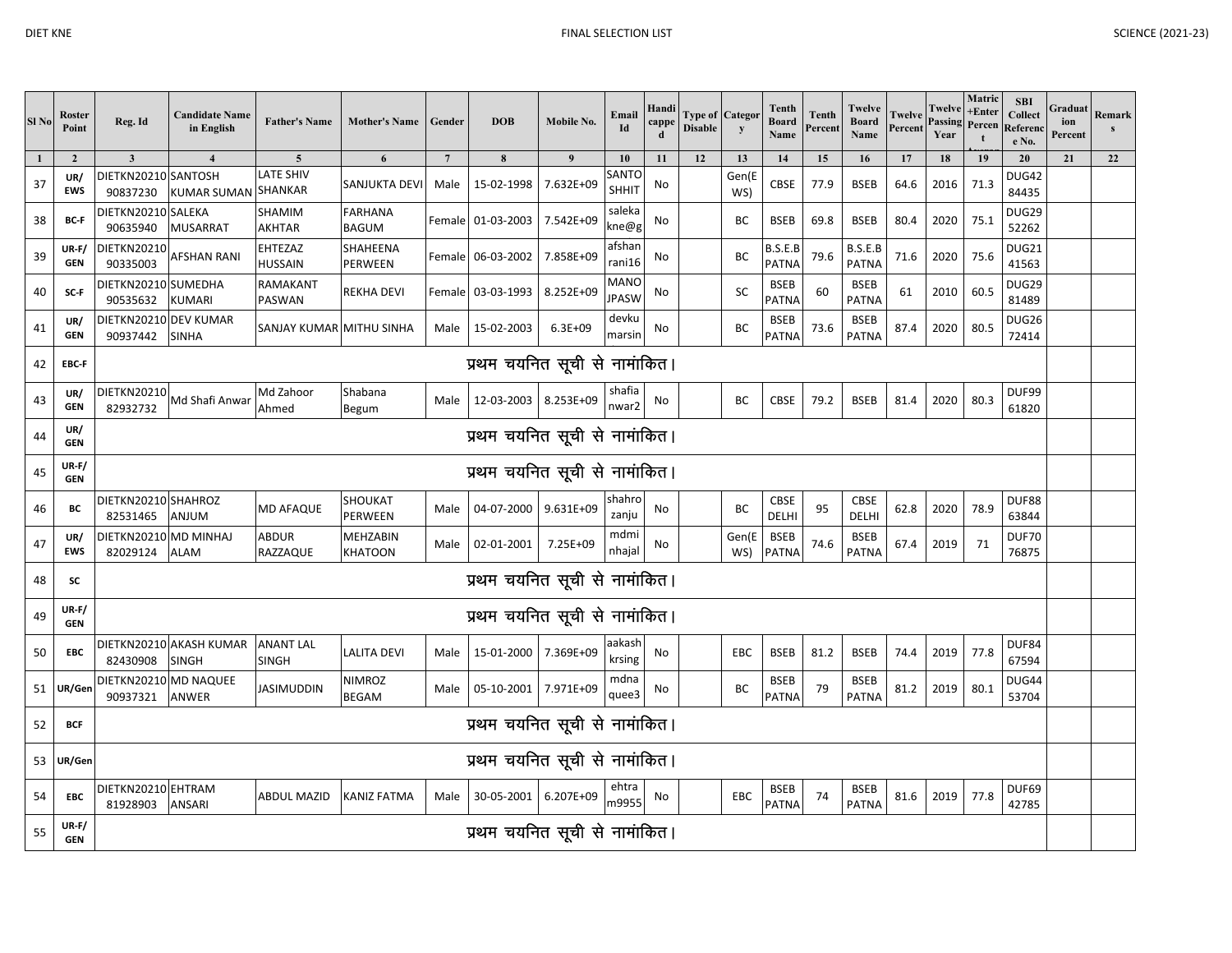| Sl No        | Roster<br>Point            | Reg. Id                             | <b>Candidate Name</b><br>in English     | <b>Father's Name</b>                       | <b>Mother's Name</b>           | Gender         | <b>DOB</b>                    | Mobile No.  | Email<br>Id                 | Handi<br>capp | Type of Categor<br><b>Disable</b> | y            | Tenth<br><b>Board</b><br>Name | Tenth<br>Percent | Twelve<br><b>Board</b><br>Name | Twelve<br>Percent | Twelve<br>Passing<br>Year | Matric<br>+Enter<br>Percen | <b>SBI</b><br>Collect<br>Referen<br>e No. | Graduat<br>ion<br>Percent | Remark |
|--------------|----------------------------|-------------------------------------|-----------------------------------------|--------------------------------------------|--------------------------------|----------------|-------------------------------|-------------|-----------------------------|---------------|-----------------------------------|--------------|-------------------------------|------------------|--------------------------------|-------------------|---------------------------|----------------------------|-------------------------------------------|---------------------------|--------|
| $\mathbf{1}$ | $\overline{2}$             | $\mathbf{3}$<br>DIETKN20210 SANTOSH |                                         | $\overline{\mathbf{5}}$<br><b>ATE SHIV</b> | 6                              | $\overline{7}$ | $\pmb{8}$                     | 9           | 10<br>SANTC                 | 11            | 12                                | 13<br>Gen(E  | 14                            | 15               | 16                             | 17                | 18                        | 19                         | 20<br><b>DUG42</b>                        | 21                        | 22     |
| 37           | UR/<br><b>EWS</b>          | 90837230                            | <b>KUMAR SUMAN</b>                      | SHANKAR                                    | SANJUKTA DEVI                  | Male           | 15-02-1998                    | 7.632E+09   | <b>SHHIT</b>                | No            |                                   | WS)          | CBSE                          | 77.9             | <b>BSEB</b>                    | 64.6              | 2016                      | 71.3                       | 84435                                     |                           |        |
| 38           | BC-F                       | DIETKN20210 SALEKA<br>90635940      | <b>MUSARRAT</b>                         | SHAMIM<br><b>AKHTAR</b>                    | <b>FARHANA</b><br><b>BAGUM</b> |                | Female 01-03-2003 7.542E+09   |             | saleka<br>kne@g             | No            |                                   | BC           | <b>BSEB</b>                   | 69.8             | <b>BSEB</b>                    | 80.4              | 2020                      | 75.1                       | DUG29<br>52262                            |                           |        |
| 39           | $UR-F/$<br><b>GEN</b>      | <b>DIETKN20210</b><br>90335003      | AFSHAN RANI                             | EHTEZAZ<br>HUSSAIN                         | SHAHEENA<br>PERWEEN            | Female         | 06-03-2002                    | 7.858E+09   | afshar<br>rani16            | No            |                                   | BC           | B.S.E.B<br>PATNA              | 79.6             | B.S.E.B<br>PATNA               | 71.6              | 2020                      | 75.6                       | DUG21<br>41563                            |                           |        |
| 40           | SC-F                       | DIETKN20210 SUMEDHA<br>90535632     | <b>KUMARI</b>                           | RAMAKANT<br>PASWAN                         | REKHA DEVI                     |                | Female 03-03-1993 8.252E+09   |             | <b>MANO</b><br><b>JPASW</b> | No            |                                   | SC           | <b>BSEB</b><br>PATNA          | 60               | <b>BSEB</b><br><b>PATNA</b>    | 61                | 2010                      | 60.5                       | DUG29<br>81489                            |                           |        |
| 41           | UR/<br><b>GEN</b>          | DIETKN20210 DEV KUMAR<br>90937442   | <b>SINHA</b>                            | SANJAY KUMAR MITHU SINHA                   |                                | Male           | 15-02-2003                    | $6.3E + 09$ | devku<br>marsin             | No            |                                   | ВC           | <b>BSEB</b><br>PATNA          | 73.6             | <b>BSEB</b><br><b>PATNA</b>    | 87.4              | 2020                      | 80.5                       | DUG26<br>72414                            |                           |        |
| 42           | EBC-F                      |                                     |                                         |                                            |                                |                | प्रथम चयनित सूची से नामांकित। |             |                             |               |                                   |              |                               |                  |                                |                   |                           |                            |                                           |                           |        |
| 43           | UR/<br><b>GEN</b>          | <b>DIETKN20210</b><br>82932732      | Md Shafi Anwar                          | Md Zahoor<br>Ahmed                         | Shabana<br>Begum               | Male           | 12-03-2003 8.253E+09          |             | shafia<br>nwar2             | No            |                                   | BC           | <b>CBSE</b>                   | 79.2             | <b>BSEB</b>                    | 81.4              | 2020                      | 80.3                       | DUF99<br>61820                            |                           |        |
| 44           | UR/<br><b>GEN</b>          | प्रथम चयनित सूची से नामांकित।       |                                         |                                            |                                |                |                               |             |                             |               |                                   |              |                               |                  |                                |                   |                           |                            |                                           |                           |        |
| 45           | $UR-F/$<br><b>GEN</b>      | प्रथम चयनित सूची से नामांकित।       |                                         |                                            |                                |                |                               |             |                             |               |                                   |              |                               |                  |                                |                   |                           |                            |                                           |                           |        |
| 46           | BC                         | DIETKN20210 SHAHROZ<br>82531465     | ANJUM                                   | <b>MD AFAQUE</b>                           | SHOUKAT<br>PERWEEN             | Male           | 04-07-2000 9.631E+09          |             | shahro<br>zanju             | No            |                                   | BC           | <b>CBSE</b><br>DELHI          | 95               | CBSE<br>DELHI                  | 62.8              | 2020                      | 78.9                       | DUF88<br>63844                            |                           |        |
| 47           | UR/<br><b>EWS</b>          | DIETKN20210 MD MINHAJ<br>82029124   | <b>ALAM</b>                             | ABDUR<br>RAZZAQUE                          | MEHZABIN<br>KHATOON            | Male           | 02-01-2001                    | 7.25E+09    | mdmi<br>nhajal              | No            |                                   | Gen(E<br>WS) | <b>BSEB</b><br>PATNA          | 74.6             | <b>BSEB</b><br><b>PATNA</b>    | 67.4              | 2019                      | 71                         | DUF70<br>76875                            |                           |        |
| 48           | SC                         |                                     |                                         |                                            |                                |                | प्रथम चयनित सूची से नामांकित। |             |                             |               |                                   |              |                               |                  |                                |                   |                           |                            |                                           |                           |        |
| 49           | $UR-F/$<br><b>GEN</b>      |                                     |                                         |                                            |                                |                | प्रथम चयनित सूची से नामांकित। |             |                             |               |                                   |              |                               |                  |                                |                   |                           |                            |                                           |                           |        |
| 50           | <b>EBC</b>                 | 82430908                            | DIETKN20210 AKASH KUMAR<br><b>SINGH</b> | <b>ANANT LAL</b><br><b>SINGH</b>           | <b>LALITA DEVI</b>             | Male           | 15-01-2000 7.369E+09          |             | aakash<br>krsing            | No            |                                   | EBC          | <b>BSEB</b>                   | 81.2             | <b>BSEB</b>                    | 74.4              | 2019                      | 77.8                       | DUF84<br>67594                            |                           |        |
| 51           | UR/Gen                     | DIETKN20210 MD NAQUEE<br>90937321   | <b>ANWER</b>                            | <b>JASIMUDDIN</b>                          | <b>NIMROZ</b><br><b>BEGAM</b>  | Male           | 05-10-2001 7.971E+09          |             | mdna<br>quee3               | No            |                                   | BC           | <b>BSEB</b><br><b>PATNA</b>   | 79               | <b>BSEB</b><br><b>PATNA</b>    | 81.2              | 2019                      | 80.1                       | DUG44<br>53704                            |                           |        |
| 52           | <b>BCF</b>                 |                                     |                                         |                                            |                                |                | प्रथम चयनित सूची से नामांकित। |             |                             |               |                                   |              |                               |                  |                                |                   |                           |                            |                                           |                           |        |
| 53           | UR/Gen                     | प्रथम चयनित सूची से नामांकित।       |                                         |                                            |                                |                |                               |             |                             |               |                                   |              |                               |                  |                                |                   |                           |                            |                                           |                           |        |
| 54           | <b>EBC</b>                 | DIETKN20210 EHTRAM<br>81928903      | <b>ANSARI</b>                           | ABDUL MAZID                                | KANIZ FATMA                    | Male           | 30-05-2001 6.207E+09          |             | ehtra<br>m9955              | No            |                                   | EBC          | <b>BSEB</b><br><b>PATNA</b>   | 74               | <b>BSEB</b><br><b>PATNA</b>    | 81.6              | 2019                      | 77.8                       | DUF69<br>42785                            |                           |        |
| 55           | <b>UR-F/</b><br><b>GEN</b> |                                     |                                         |                                            |                                |                | प्रथम चयनित सूची से नामांकित। |             |                             |               |                                   |              |                               |                  |                                |                   |                           |                            |                                           |                           |        |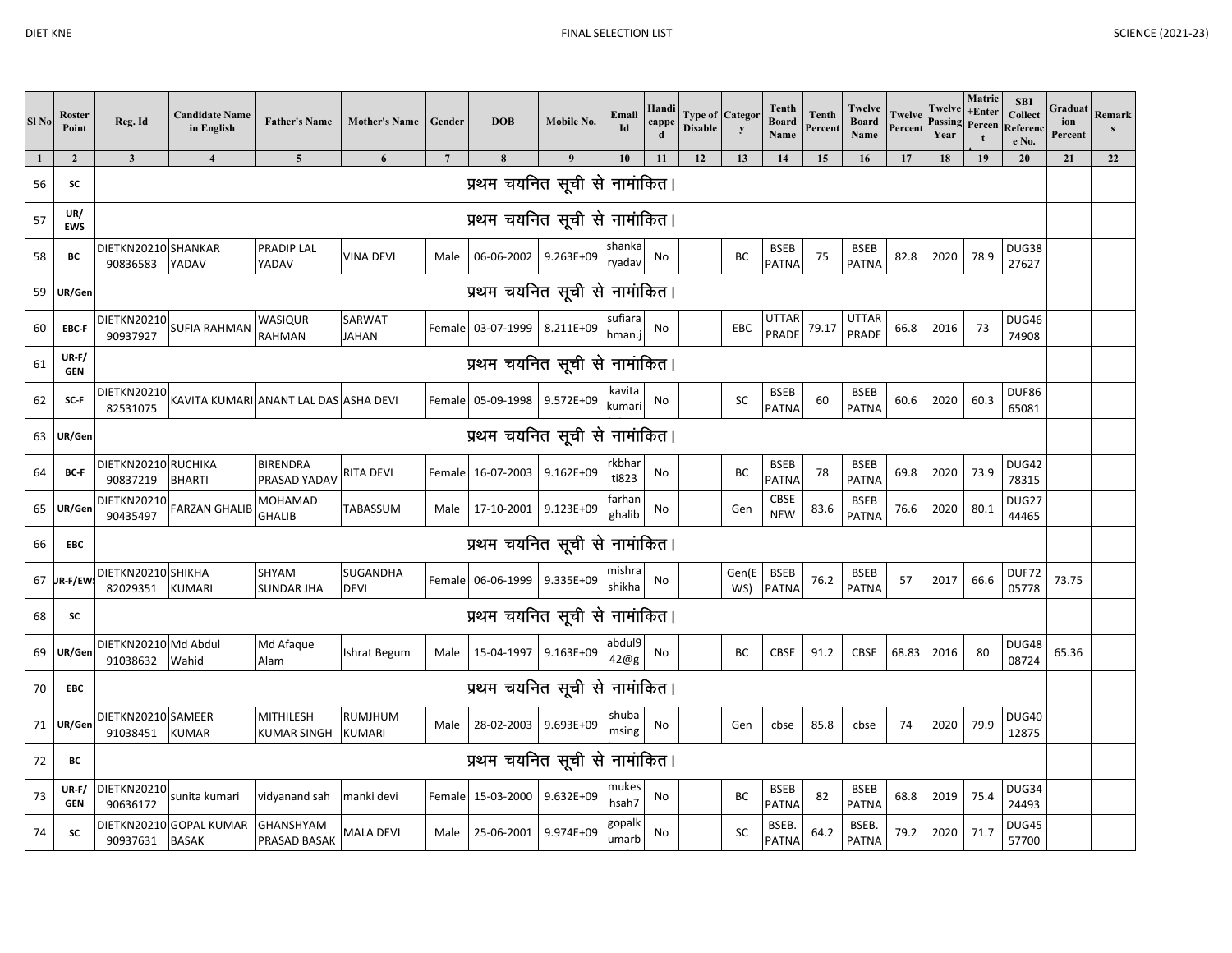| Sl <sub>No</sub> | Roster<br>Point       | Reg. Id                              | <b>Candidate Name</b><br>in English     | <b>Father's Name</b>              | <b>Mother's Name</b>            | Gender          | <b>DOB</b>                          | Mobile No.       | Email<br>Id      | Handi<br>cappe | <b>Disable</b> | <b>Type of Categor</b><br>y | Tenth<br><b>Board</b><br>Name | Tenth<br>Percent | Twelve<br><b>Board</b><br>Name | <b>Twelve</b><br>Percent | Twelve<br>Passing<br>Year | Matric<br>$+$ Enter<br>Percen | <b>SBI</b><br>Collect<br>Referen<br>e No. | Graduat<br>ion<br>Percent | Remark<br>$\mathbf{s}$ |
|------------------|-----------------------|--------------------------------------|-----------------------------------------|-----------------------------------|---------------------------------|-----------------|-------------------------------------|------------------|------------------|----------------|----------------|-----------------------------|-------------------------------|------------------|--------------------------------|--------------------------|---------------------------|-------------------------------|-------------------------------------------|---------------------------|------------------------|
| 1                | $\overline{2}$        | $\overline{\mathbf{3}}$              | $\overline{4}$                          | $\overline{5}$                    | 6                               | $7\overline{ }$ | 8                                   | $\boldsymbol{9}$ | 10               | 11             | 12             | 13                          | 14                            | 15               | 16                             | 17                       | 18                        | 19                            | 20                                        | 21                        | 22                     |
| 56               | SC                    |                                      |                                         |                                   |                                 |                 | प्रथम चयनित सूची से नामांकित।       |                  |                  |                |                |                             |                               |                  |                                |                          |                           |                               |                                           |                           |                        |
| 57               | UR/<br><b>EWS</b>     |                                      |                                         |                                   |                                 |                 | प्रथम चयनित सूची से नामांकित।       |                  |                  |                |                |                             |                               |                  |                                |                          |                           |                               |                                           |                           |                        |
| 58               | ВC                    | DIETKN20210 SHANKAR<br>90836583      | YADAV                                   | <b>PRADIP LAL</b><br>YADAV        | <b>VINA DEVI</b>                | Male            | 06-06-2002 9.263E+09                |                  | shanka<br>ryadav | No             |                | BC                          | <b>BSEB</b><br>PATNA          | 75               | <b>BSEB</b><br>PATNA           | 82.8                     | 2020                      | 78.9                          | DUG38<br>27627                            |                           |                        |
| 59               | UR/Gen                |                                      |                                         |                                   |                                 |                 | प्रथम चयनित सूची से नामांकित।       |                  |                  |                |                |                             |                               |                  |                                |                          |                           |                               |                                           |                           |                        |
| 60               | EBC-F                 |                                      | DIETKN20210 SUFIA RAHMAN                | WASIQUR<br><b>RAHMAN</b>          | SARWAT<br><b>JAHAN</b>          |                 | Female 03-07-1999 8.211E+09 sufiara |                  |                  | No             |                | EBC                         | UTTAR<br>PRADE                | 79.17            | <b>UTTAR</b><br>PRADE          | 66.8                     | 2016                      | 73                            | DUG46<br>74908                            |                           |                        |
| 61               | $UR-F/$<br><b>GEN</b> |                                      |                                         |                                   |                                 |                 | प्रथम चयनित सूची से नामांकित।       |                  |                  |                |                |                             |                               |                  |                                |                          |                           |                               |                                           |                           |                        |
| 62               | SC-F                  | <b>DIETKN20210</b><br>82531075       | KAVITA KUMARI ANANT LAL DAS ASHA DEVI   |                                   |                                 |                 | Female 05-09-1998 9.572E+09         |                  | kavita<br>kumari | No             |                | <b>SC</b>                   | <b>BSEB</b><br>PATNA          | 60               | <b>BSEB</b><br>PATNA           | 60.6                     | 2020                      | 60.3                          | DUF86<br>65081                            |                           |                        |
| 63               | UR/Gen                | प्रथम चयनित सूची से नामांकित।        |                                         |                                   |                                 |                 |                                     |                  |                  |                |                |                             |                               |                  |                                |                          |                           |                               |                                           |                           |                        |
| 64               | BC-F                  | DIETKN20210 RUCHIKA<br>90837219      | <b>BHARTI</b>                           | <b>BIRENDRA</b><br>PRASAD YADAV   | <b>RITA DEVI</b>                |                 | Female 16-07-2003 9.162E+09         |                  | rkbhar<br>ti823  | No             |                | BC                          | <b>BSEB</b><br>PATNA          | 78               | <b>BSEB</b><br><b>PATNA</b>    | 69.8                     | 2020                      | 73.9                          | <b>DUG42</b><br>78315                     |                           |                        |
| 65               | UR/Gen                | <b>DIETKN20210</b><br>90435497       | <b>FARZAN GHALIB</b>                    | <b>MOHAMAD</b><br><b>GHALIB</b>   | TABASSUM                        | Male            | 17-10-2001 9.123E+09                |                  | farhan<br>ghalib | No             |                | Gen                         | <b>CBSE</b><br><b>NEW</b>     | 83.6             | <b>BSEB</b><br>PATNA           | 76.6                     | 2020                      | 80.1                          | DUG27<br>44465                            |                           |                        |
| 66               | <b>EBC</b>            |                                      |                                         |                                   |                                 |                 | प्रथम चयनित सूची से नामांकित।       |                  |                  |                |                |                             |                               |                  |                                |                          |                           |                               |                                           |                           |                        |
| 67               | R-F/EW:               | DIETKN20210 SHIKHA<br>82029351       | <b>KUMARI</b>                           | <b>SHYAM</b><br><b>SUNDAR JHA</b> | <b>SUGANDHA</b><br><b>DEVI</b>  |                 | Female 06-06-1999 9.335E+09         |                  | mishra<br>shikha | No             |                | Gen(E<br>WS)                | <b>BSEB</b><br>PATNA          | 76.2             | <b>BSEB</b><br>PATNA           | 57                       | 2017                      | 66.6                          | DUF72<br>05778                            | 73.75                     |                        |
| 68               | SC                    |                                      |                                         |                                   |                                 |                 | प्रथम चयनित सूची से नामांकित।       |                  |                  |                |                |                             |                               |                  |                                |                          |                           |                               |                                           |                           |                        |
| 69               | UR/Gen                | DIETKN20210 Md Abdul<br>91038632     | Wahid                                   | Md Afaque<br>Alam                 | Ishrat Begum                    | Male            | 15-04-1997 9.163E+09                |                  | abdul9<br>42@g   | No             |                | BC                          | CBSE                          | 91.2             | CBSE                           | 68.83                    | 2016                      | 80                            | DUG48<br>08724                            | 65.36                     |                        |
| 70               | <b>EBC</b>            |                                      |                                         |                                   |                                 |                 | प्रथम चयनित सूची से नामांकित।       |                  |                  |                |                |                             |                               |                  |                                |                          |                           |                               |                                           |                           |                        |
| 71               | UR/Gen                | DIETKN20210 SAMEER<br>91038451 KUMAR |                                         | MITHILESH<br>KUMAR SINGH          | <b>RUMJHUM</b><br><b>KUMARI</b> | Male            | 28-02-2003 9.693E+09                |                  | shuba<br>msing   | No             |                | Gen                         | cbse                          | 85.8             | cbse                           | 74                       | 2020                      | 79.9                          | <b>DUG40</b><br>12875                     |                           |                        |
| 72               | ВC                    |                                      |                                         |                                   |                                 |                 | प्रथम चयनित सूची से नामांकित।       |                  |                  |                |                |                             |                               |                  |                                |                          |                           |                               |                                           |                           |                        |
| 73               | $UR-F/$<br><b>GEN</b> | <b>DIETKN20210</b><br>90636172       | sunita kumari                           | vidyanand sah                     | manki devi                      |                 | Female 15-03-2000 9.632E+09         |                  | mukes<br>hsah7   | No             |                | ВC                          | <b>BSEB</b><br><b>PATNA</b>   | 82               | <b>BSEB</b><br>PATNA           | 68.8                     | 2019                      | 75.4                          | DUG34<br>24493                            |                           |                        |
| 74               | SC                    | 90937631                             | DIETKN20210 GOPAL KUMAR<br><b>BASAK</b> | <b>GHANSHYAM</b><br>PRASAD BASAK  | <b>MALA DEVI</b>                | Male            | 25-06-2001 9.974E+09                |                  | gopalk<br>umarb  | No             |                | SC                          | <b>BSEB</b><br>PATNA          | 64.2             | <b>BSEB</b><br>PATNA           | 79.2                     | 2020                      | 71.7                          | DUG45<br>57700                            |                           |                        |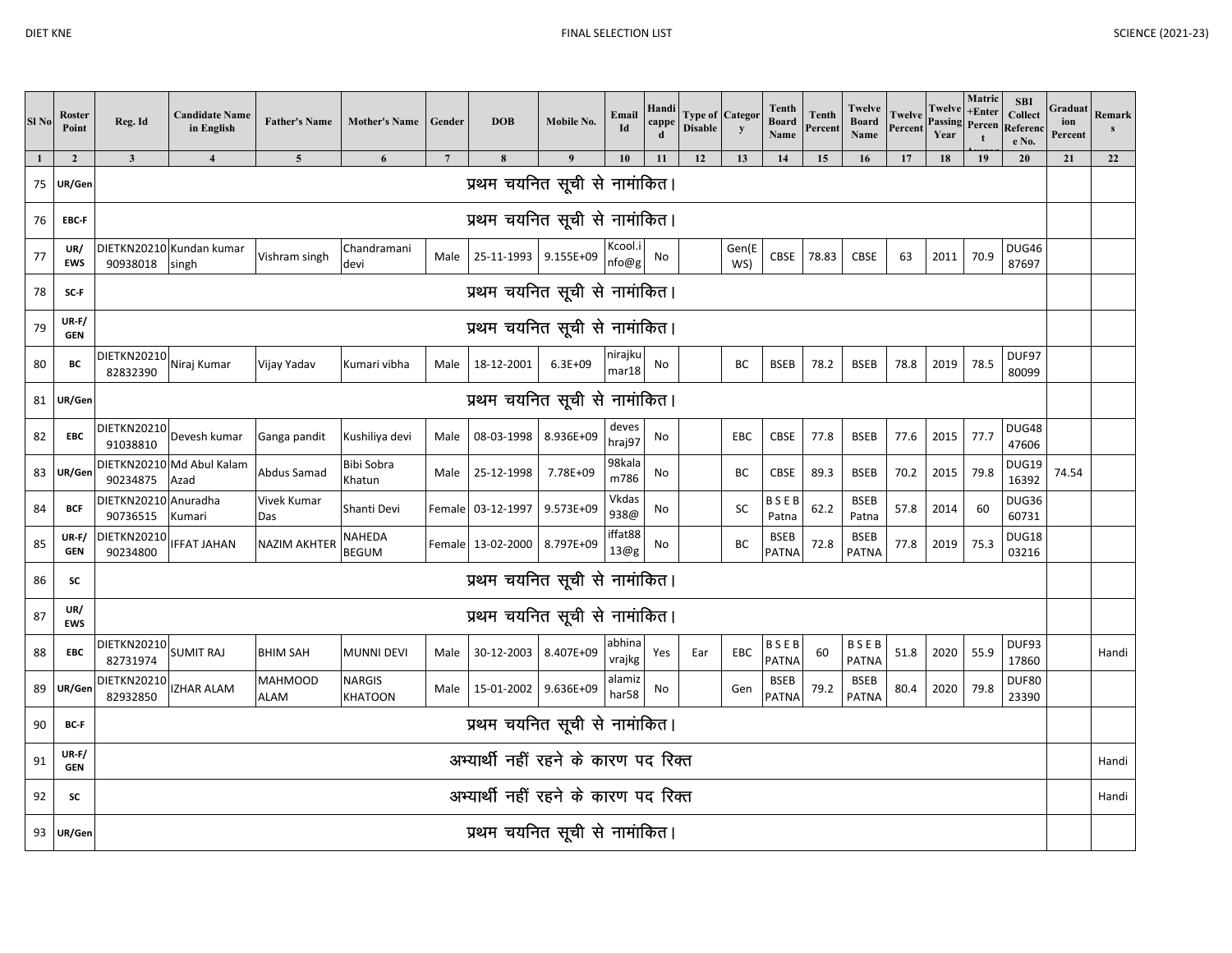| Sl <sub>No</sub> | Roster<br>Point         | Reg. Id                              | <b>Candidate Name</b><br>in English | <b>Father's Name</b>          | Mother's Name Gender     |                 | <b>DOB</b>                           | Mobile No.  | Email<br>Id                 | Handi<br>cappo | <b>Type of Categor</b><br><b>Disable</b> | y            | <b>Tenth</b><br><b>Board</b><br>Name | <b>Tenth</b><br>Percent | Twelve<br><b>Board</b><br>Name | <b>Twelve</b><br>Percent | Twelve<br>Passing<br>Year | Matric<br>+Enter<br>Percen<br>t | <b>SBI</b><br>Collect<br>Referenc<br>e No. | Graduat<br>ion<br>Percent | Remark<br>$\mathbf{s}$ |
|------------------|-------------------------|--------------------------------------|-------------------------------------|-------------------------------|--------------------------|-----------------|--------------------------------------|-------------|-----------------------------|----------------|------------------------------------------|--------------|--------------------------------------|-------------------------|--------------------------------|--------------------------|---------------------------|---------------------------------|--------------------------------------------|---------------------------|------------------------|
|                  | $\overline{\mathbf{c}}$ | $\mathbf{3}$                         | $\overline{4}$                      | $5\phantom{.0}$               | $\boldsymbol{6}$         | $7\phantom{.0}$ | $\pmb{8}$                            | 9           | 10                          | 11             | 12                                       | 13           | 14                                   | 15                      | 16                             | 17                       | 18                        | 19                              | 20                                         | 21                        | 22                     |
| 75               | UR/Gen                  |                                      |                                     |                               |                          |                 | प्रथम चयनित सूची से नामांकित।        |             |                             |                |                                          |              |                                      |                         |                                |                          |                           |                                 |                                            |                           |                        |
| 76               | EBC-F                   |                                      |                                     |                               |                          |                 | प्रथम चयनित सूची से नामांकित।        |             |                             |                |                                          |              |                                      |                         |                                |                          |                           |                                 |                                            |                           |                        |
| 77               | UR/<br><b>EWS</b>       | 90938018                             | DIETKN20210 Kundan kumar<br>singh   | Vishram singh                 | Chandramani<br>devi      |                 | Male 25-11-1993 9.155E+09            |             | Kcool.i<br>nfo@g            | No             |                                          | Gen(E<br>WS) | <b>CBSE</b>                          | 78.83                   | CBSE                           | 63                       | 2011                      | 70.9                            | DUG46<br>87697                             |                           |                        |
| 78               | SC-F                    |                                      |                                     |                               |                          |                 | प्रथम चयनित सूची से नामांकित।        |             |                             |                |                                          |              |                                      |                         |                                |                          |                           |                                 |                                            |                           |                        |
| 79               | UR-F/<br><b>GEN</b>     |                                      |                                     |                               |                          |                 | प्रथम चयनित सूची से नामांकित।        |             |                             |                |                                          |              |                                      |                         |                                |                          |                           |                                 |                                            |                           |                        |
| 80               | BC                      | DIETKN20210 Niraj Kumar<br>82832390  |                                     | Vijay Yadav                   | Kumari vibha             | Male            | 18-12-2001                           | $6.3E + 09$ | nirajku<br>mar18            | No             |                                          | BC           | <b>BSEB</b>                          | 78.2                    | <b>BSEB</b>                    | 78.8                     | 2019                      | 78.5                            | DUF97<br>80099                             |                           |                        |
|                  | 81 UR/Gen               | प्रथम चयनित सूची से नामांकित।        |                                     |                               |                          |                 |                                      |             |                             |                |                                          |              |                                      |                         |                                |                          |                           |                                 |                                            |                           |                        |
| 82               | EBC                     | DIETKN20210<br>91038810              | Devesh kumar                        | Ganga pandit                  | Kushiliya devi           | Male            | 08-03-1998 8.936E+09                 |             | deves<br>hraj97             | No             |                                          | <b>EBC</b>   | CBSE                                 | 77.8                    | <b>BSEB</b>                    | 77.6                     | 2015                      | 77.7                            | DUG48<br>47606                             |                           |                        |
| 83               | UR/Ger                  | 90234875                             | DIETKN20210 Md Abul Kalam<br>Azad   | Abdus Samad                   | Bibi Sobra<br>Khatun     | Male            | 25-12-1998                           | 7.78E+09    | 98kala<br>m786              | No             |                                          | BC           | CBSE                                 | 89.3                    | <b>BSEB</b>                    | 70.2                     | 2015                      | 79.8                            | DUG19<br>16392                             | 74.54                     |                        |
| 84               | <b>BCF</b>              | DIETKN20210 Anuradha<br>90736515     | Kumari                              | Vivek Kumar<br>Das            | Shanti Devi              |                 | Female 03-12-1997 9.573E+09          |             | Vkdas<br>938@               | No             |                                          | SC           | <b>BSEB</b><br>Patna                 | 62.2                    | <b>BSEB</b><br>Patna           | 57.8                     | 2014                      | 60                              | DUG36<br>60731                             |                           |                        |
| 85               | $UR-F/$<br><b>GEN</b>   | DIETKN20210<br>90234800              | <b>IFFAT JAHAN</b>                  | <b>NAZIM AKHTER</b>           | NAHEDA<br><b>BEGUM</b>   |                 | Female 13-02-2000 8.797E+09          |             | iffat88<br>13@g             | No             |                                          | ВC           | <b>BSEB</b><br>PATNA                 | 72.8                    | <b>BSEB</b><br><b>PATNA</b>    | 77.8                     | 2019                      | 75.3                            | DUG18<br>03216                             |                           |                        |
| 86               | SC                      |                                      |                                     |                               |                          |                 | प्रथम चयनित सूची से नामांकित।        |             |                             |                |                                          |              |                                      |                         |                                |                          |                           |                                 |                                            |                           |                        |
| 87               | UR/<br><b>EWS</b>       |                                      |                                     |                               |                          |                 | प्रथम चयनित सूची से नामांकित।        |             |                             |                |                                          |              |                                      |                         |                                |                          |                           |                                 |                                            |                           |                        |
| 88               | <b>EBC</b>              | <b>DIETKN20210</b><br>82731974       | <b>SUMIT RAJ</b>                    | <b>BHIM SAH</b>               | <b>MUNNI DEVI</b>        | Male            | 30-12-2003 8.407E+09                 |             | abhina<br>vrajkg            | Yes            | Ear                                      | EBC          | BSEB<br><b>PATNA</b>                 | 60                      | BSEB<br><b>PATNA</b>           | 51.8                     | 2020                      | 55.9                            | DUF93<br>17860                             |                           | Handi                  |
| 89               | UR/Ger                  | <b>DIETKN20210</b><br>82932850       | <b>IZHAR ALAM</b>                   | <b>MAHMOOD</b><br><b>ALAM</b> | <b>NARGIS</b><br>KHATOON |                 | Male 15-01-2002 9.636E+09            |             | alamiz<br>har <sub>58</sub> | No             |                                          | Gen          | <b>BSEB</b><br>PATNA                 | 79.2                    | <b>BSEB</b><br><b>PATNA</b>    | 80.4                     | 2020                      | 79.8                            | <b>DUF80</b><br>23390                      |                           |                        |
| 90               | BC-F                    | प्रथम चयनित सूची से नामांकित।        |                                     |                               |                          |                 |                                      |             |                             |                |                                          |              |                                      |                         |                                |                          |                           |                                 |                                            |                           |                        |
| 91               | $UR-F/$<br><b>GEN</b>   |                                      |                                     |                               |                          |                 | अभ्यार्थी नहीं रहने के कारण पद रिक्त |             |                             |                |                                          |              |                                      |                         |                                |                          |                           |                                 |                                            |                           | Handi                  |
| 92               | SC                      | अभ्यार्थी नहीं रहने के कारण पद रिक्त |                                     |                               |                          |                 |                                      |             |                             |                |                                          |              |                                      | Handi                   |                                |                          |                           |                                 |                                            |                           |                        |
| 93               | UR/Gen                  |                                      |                                     |                               |                          |                 | प्रथम चयनित सूची से नामांकित।        |             |                             |                |                                          |              |                                      |                         |                                |                          |                           |                                 |                                            |                           |                        |